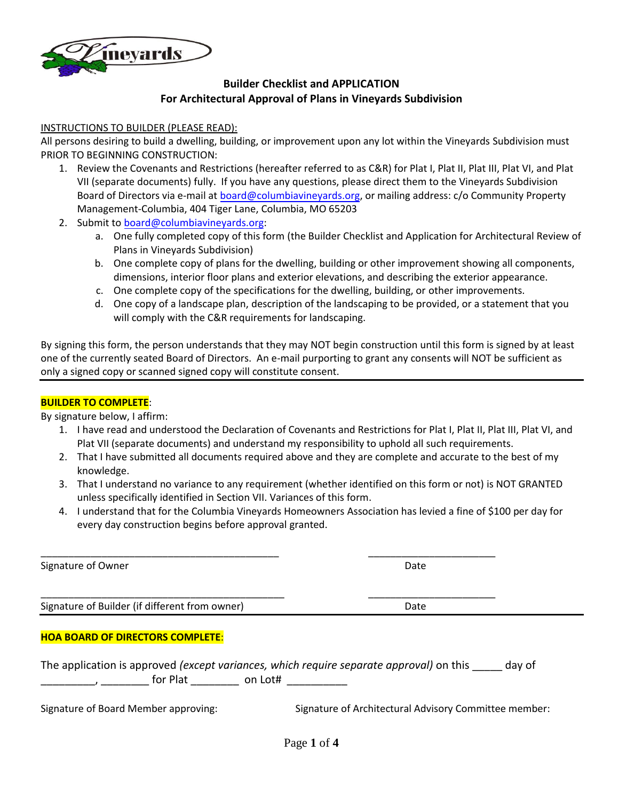

# **Builder Checklist and APPLICATION For Architectural Approval of Plans in Vineyards Subdivision**

#### INSTRUCTIONS TO BUILDER (PLEASE READ):

All persons desiring to build a dwelling, building, or improvement upon any lot within the Vineyards Subdivision must PRIOR TO BEGINNING CONSTRUCTION:

- 1. Review the Covenants and Restrictions (hereafter referred to as C&R) for Plat I, Plat II, Plat III, Plat VI, and Plat VII (separate documents) fully. If you have any questions, please direct them to the Vineyards Subdivision Board of Directors via e-mail at [board@columbiavineyards.org](mailto:tracy@cpmgateway.com, mailto:board@columbiavineyards.org), or mailing address: c/o Community Property Management-Columbia, 404 Tiger Lane, Columbia, MO 65203
- 2. Submit to [board@columbiavineyards.org](mailto:tracy@cpmgateway.com, mailto:board@columbiavineyards.org):
	- a. One fully completed copy of this form (the Builder Checklist and Application for Architectural Review of Plans in Vineyards Subdivision)
	- b. One complete copy of plans for the dwelling, building or other improvement showing all components, dimensions, interior floor plans and exterior elevations, and describing the exterior appearance.
	- c. One complete copy of the specifications for the dwelling, building, or other improvements.
	- d. One copy of a landscape plan, description of the landscaping to be provided, or a statement that you will comply with the C&R requirements for landscaping.

By signing this form, the person understands that they may NOT begin construction until this form is signed by at least one of the currently seated Board of Directors. An e-mail purporting to grant any consents will NOT be sufficient as only a signed copy or scanned signed copy will constitute consent.

## **BUILDER TO COMPLETE**:

By signature below, I affirm:

- 1. I have read and understood the Declaration of Covenants and Restrictions for Plat I, Plat II, Plat III, Plat VI, and Plat VII (separate documents) and understand my responsibility to uphold all such requirements.
- 2. That I have submitted all documents required above and they are complete and accurate to the best of my knowledge.
- 3. That I understand no variance to any requirement (whether identified on this form or not) is NOT GRANTED unless specifically identified in Section VII. Variances of this form.
- 4. I understand that for the Columbia Vineyards Homeowners Association has levied a fine of \$100 per day for every day construction begins before approval granted.

| Signature of Owner                             | Date |  |
|------------------------------------------------|------|--|
| Signature of Builder (if different from owner) | Date |  |
| <b>HOA BOARD OF DIRECTORS COMPLETE:</b>        |      |  |

The application is approved *(except variances, which require separate approval)* on this \_\_\_\_\_ day of \_\_\_\_\_\_\_\_\_, \_\_\_\_\_\_\_\_ for Plat \_\_\_\_\_\_\_\_ on Lot# \_\_\_\_\_\_\_\_\_\_

Signature of Board Member approving: Signature of Architectural Advisory Committee member: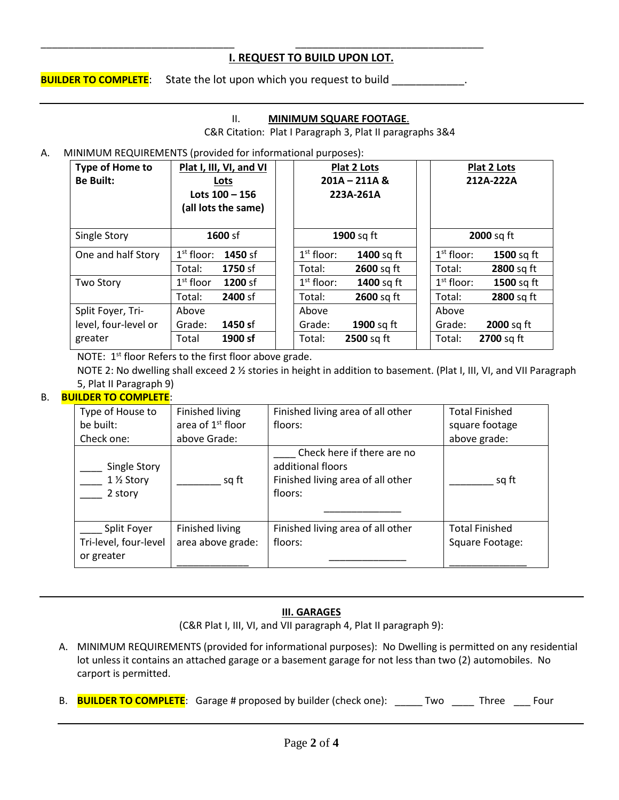# **I. REQUEST TO BUILD UPON LOT.**

**BUILDER TO COMPLETE**: State the lot upon which you request to build  $\blacksquare$ 

\_\_\_\_\_\_\_\_\_\_\_\_\_\_\_\_\_\_\_\_\_\_\_\_\_\_\_\_\_\_\_\_\_\_\_ \_\_\_\_\_\_\_\_\_\_\_\_\_\_\_\_\_\_\_\_\_\_\_\_\_\_\_\_\_\_\_\_\_\_

### II. **MINIMUM SQUARE FOOTAGE**.

C&R Citation: Plat I Paragraph 3, Plat II paragraphs 3&4

### A. MINIMUM REQUIREMENTS (provided for informational purposes):

| Type of Home to<br><b>Be Built:</b> | Plat I, III, VI, and VI<br>Lots<br>Lots $100 - 156$<br>(all lots the same) |              | <b>Plat 2 Lots</b><br>$201A - 211A$ &<br>223A-261A |              | <b>Plat 2 Lots</b><br>212A-222A |
|-------------------------------------|----------------------------------------------------------------------------|--------------|----------------------------------------------------|--------------|---------------------------------|
| Single Story                        | 1600 sf                                                                    |              | 1900 sq ft                                         |              | 2000 sq ft                      |
| One and half Story                  | $1st$ floor:<br>1450 sf                                                    | $1st$ floor: | 1400 sq ft                                         | $1st$ floor: | 1500 sq ft                      |
|                                     | 1750 sf<br>Total:                                                          | Total:       | 2600 sq ft                                         | Total:       | 2800 sq ft                      |
| <b>Two Story</b>                    | $1st$ floor<br>1200 sf                                                     | $1st$ floor: | 1400 sq ft                                         | $1st$ floor: | 1500 sq ft                      |
|                                     | 2400 sf<br>Total:                                                          | Total:       | 2600 sq ft                                         | Total:       | 2800 sq ft                      |
| Split Foyer, Tri-                   | Above                                                                      | Above        |                                                    | Above        |                                 |
| level, four-level or                | 1450 sf<br>Grade:                                                          | Grade:       | 1900 sq ft                                         | Grade:       | 2000 sq ft                      |
| greater                             | 1900 sf<br>Total                                                           | Total:       | $2500$ sq ft                                       | Total:       | <b>2700</b> sq ft               |

NOTE:  $1<sup>st</sup>$  floor Refers to the first floor above grade.

NOTE 2: No dwelling shall exceed 2 % stories in height in addition to basement. (Plat I, III, VI, and VII Paragraph 5, Plat II Paragraph 9)

## B. **BUILDER TO COMPLETE**:

| Type of House to<br>be built:<br>Check one: | Finished living<br>area of 1 <sup>st</sup> floor<br>above Grade: | Finished living area of all other<br>floors:                                                    | <b>Total Finished</b><br>square footage<br>above grade: |
|---------------------------------------------|------------------------------------------------------------------|-------------------------------------------------------------------------------------------------|---------------------------------------------------------|
| Single Story<br>1 1/2 Story<br>2 story      | sq ft                                                            | Check here if there are no<br>additional floors<br>Finished living area of all other<br>floors: | sq ft                                                   |
| Split Foyer                                 | <b>Finished living</b>                                           | Finished living area of all other                                                               | <b>Total Finished</b>                                   |
| Tri-level, four-level<br>or greater         | area above grade:                                                | floors:                                                                                         | Square Footage:                                         |
|                                             |                                                                  |                                                                                                 |                                                         |

## **III. GARAGES**

(C&R Plat I, III, VI, and VII paragraph 4, Plat II paragraph 9):

- A. MINIMUM REQUIREMENTS (provided for informational purposes): No Dwelling is permitted on any residential lot unless it contains an attached garage or a basement garage for not less than two (2) automobiles. No carport is permitted.
- B. **BUILDER TO COMPLETE**: Garage # proposed by builder (check one): \_\_\_\_\_ Two \_\_\_\_ Three \_\_\_ Four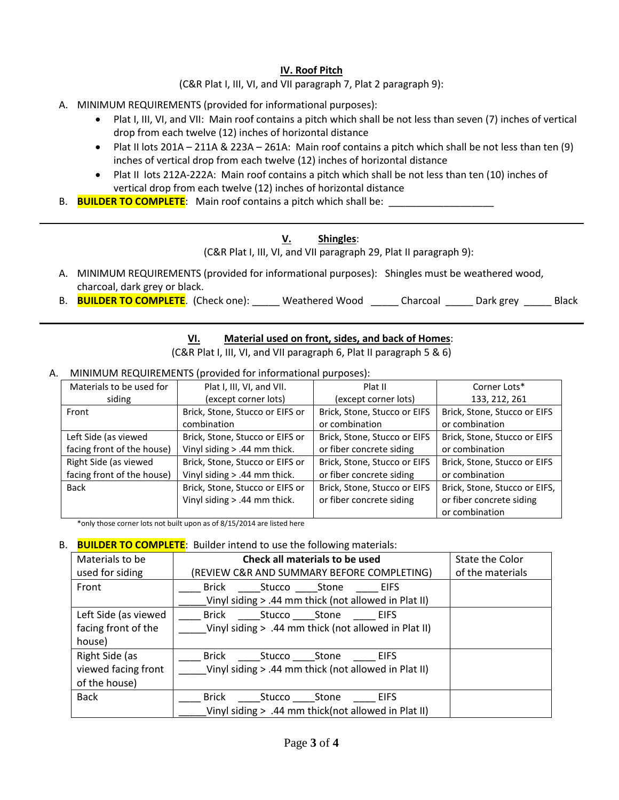# **IV. Roof Pitch**

(C&R Plat I, III, VI, and VII paragraph 7, Plat 2 paragraph 9):

- A. MINIMUM REQUIREMENTS (provided for informational purposes):
	- Plat I, III, VI, and VII: Main roof contains a pitch which shall be not less than seven (7) inches of vertical drop from each twelve (12) inches of horizontal distance
	- Plat II lots 201A 211A & 223A 261A: Main roof contains a pitch which shall be not less than ten (9) inches of vertical drop from each twelve (12) inches of horizontal distance
	- Plat II lots 212A-222A: Main roof contains a pitch which shall be not less than ten (10) inches of vertical drop from each twelve (12) inches of horizontal distance
- B. **BUILDER TO COMPLETE**: Main roof contains a pitch which shall be:

# **V. Shingles**:

(C&R Plat I, III, VI, and VII paragraph 29, Plat II paragraph 9):

- A. MINIMUM REQUIREMENTS (provided for informational purposes): Shingles must be weathered wood, charcoal, dark grey or black.
- B. **BUILDER TO COMPLETE**. (Check one): Weathered Wood Charcoal Dark grey Black

# **VI. Material used on front, sides, and back of Homes**:

(C&R Plat I, III, VI, and VII paragraph 6, Plat II paragraph 5 & 6)

### A. MINIMUM REQUIREMENTS (provided for informational purposes):

| Materials to be used for   | Plat I, III, VI, and VII.       | Plat II                      | Corner Lots*                  |
|----------------------------|---------------------------------|------------------------------|-------------------------------|
| siding                     | (except corner lots)            | (except corner lots)         | 133, 212, 261                 |
| Front                      | Brick, Stone, Stucco or EIFS or | Brick, Stone, Stucco or EIFS | Brick, Stone, Stucco or EIFS  |
|                            | combination                     | or combination               | or combination                |
| Left Side (as viewed       | Brick, Stone, Stucco or EIFS or | Brick, Stone, Stucco or EIFS | Brick, Stone, Stucco or EIFS  |
| facing front of the house) | Vinyl siding $> .44$ mm thick.  | or fiber concrete siding     | or combination                |
| Right Side (as viewed      | Brick, Stone, Stucco or EIFS or | Brick, Stone, Stucco or EIFS | Brick, Stone, Stucco or EIFS  |
| facing front of the house) | Vinyl siding $> .44$ mm thick.  | or fiber concrete siding     | or combination                |
| <b>Back</b>                | Brick, Stone, Stucco or EIFS or | Brick, Stone, Stucco or EIFS | Brick, Stone, Stucco or EIFS, |
|                            | Vinyl siding $> .44$ mm thick.  | or fiber concrete siding     | or fiber concrete siding      |
|                            |                                 |                              | or combination                |

\*only those corner lots not built upon as of 8/15/2014 are listed here

#### B. **BUILDER TO COMPLETE**: Builder intend to use the following materials:

| Materials to be      | Check all materials to be used                       | State the Color  |
|----------------------|------------------------------------------------------|------------------|
| used for siding      | (REVIEW C&R AND SUMMARY BEFORE COMPLETING)           | of the materials |
| Front                | Brick Stucco Stone EIFS                              |                  |
|                      | Vinyl siding > .44 mm thick (not allowed in Plat II) |                  |
| Left Side (as viewed | Brick Stucco Stone EIFS                              |                  |
| facing front of the  | Vinyl siding > .44 mm thick (not allowed in Plat II) |                  |
| house)               |                                                      |                  |
| Right Side (as       | Brick<br>Stucco Stone<br>EIFS                        |                  |
| viewed facing front  | Vinyl siding > .44 mm thick (not allowed in Plat II) |                  |
| of the house)        |                                                      |                  |
| <b>Back</b>          | Brick<br>Stucco Stone EIFS                           |                  |
|                      | Vinyl siding > .44 mm thick(not allowed in Plat II)  |                  |